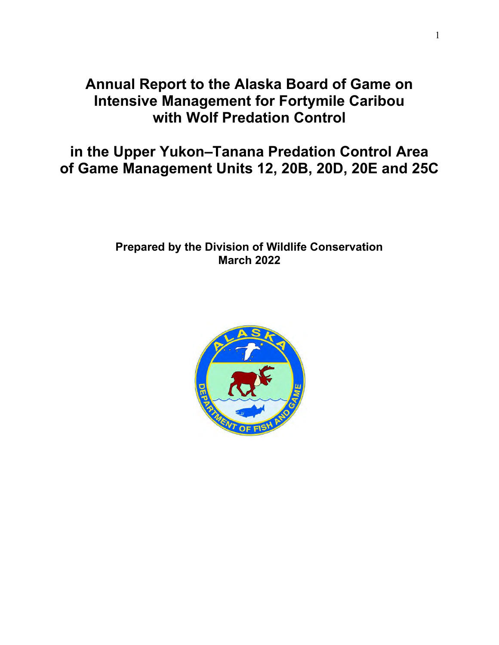# **Annual Report to the Alaska Board of Game on Intensive Management for Fortymile Caribou with Wolf Predation Control**

**in the Upper Yukon–Tanana Predation Control Area of Game Management Units 12, 20B, 20D, 20E and 25C**

## **Prepared by the Division of Wildlife Conservation March 2022**

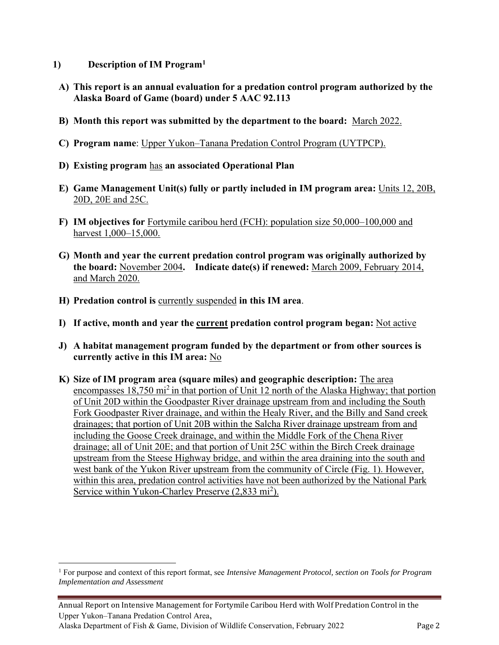- **1) Description of IM Program<sup>1</sup>**
	- **A) This report is an annual evaluation for a predation control program authorized by the Alaska Board of Game (board) under 5 AAC 92.113**
	- **B) Month this report was submitted by the department to the board:** March 2022.
	- **C) Program name**: Upper Yukon–Tanana Predation Control Program (UYTPCP).
	- **D) Existing program** has **an associated Operational Plan**
	- **E) Game Management Unit(s) fully or partly included in IM program area:** Units 12, 20B, 20D, 20E and 25C.
	- **F) IM objectives for** Fortymile caribou herd (FCH): population size 50,000–100,000 and harvest 1,000–15,000.
	- **G) Month and year the current predation control program was originally authorized by the board:** November 2004**. Indicate date(s) if renewed:** March 2009, February 2014, and March 2020.
	- **H) Predation control is** currently suspended **in this IM area**.
	- **I) If active, month and year the current predation control program began:** Not active
	- **J) A habitat management program funded by the department or from other sources is currently active in this IM area:** No
	- **K) Size of IM program area (square miles) and geographic description:** The area encompasses  $18,750$  mi<sup>2</sup> in that portion of Unit 12 north of the Alaska Highway; that portion of Unit 20D within the Goodpaster River drainage upstream from and including the South Fork Goodpaster River drainage, and within the Healy River, and the Billy and Sand creek drainages; that portion of Unit 20B within the Salcha River drainage upstream from and including the Goose Creek drainage, and within the Middle Fork of the Chena River drainage; all of Unit 20E; and that portion of Unit 25C within the Birch Creek drainage upstream from the Steese Highway bridge, and within the area draining into the south and west bank of the Yukon River upstream from the community of Circle (Fig. 1). However, within this area, predation control activities have not been authorized by the National Park Service within Yukon-Charley Preserve (2,833 mi<sup>2</sup>).

<sup>1</sup> For purpose and context of this report format, see *Intensive Management Protocol, section on Tools for Program Implementation and Assessment*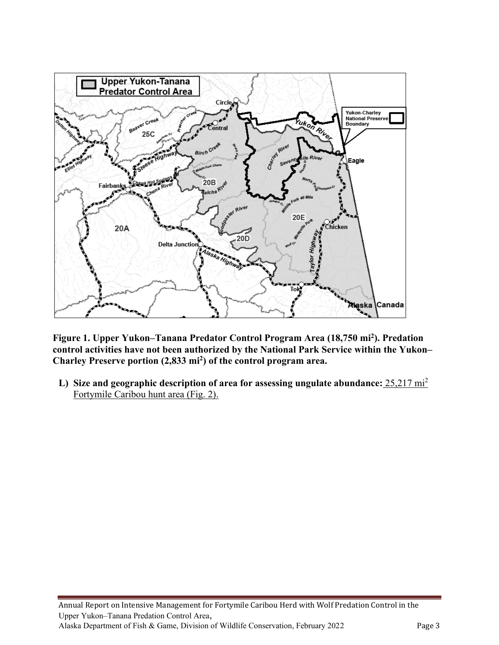

**Figure 1. Upper Yukon–Tanana Predator Control Program Area (18,750 mi<sup>2</sup> ). Predation control activities have not been authorized by the National Park Service within the Yukon– Charley Preserve portion (2,833 mi<sup>2</sup> ) of the control program area.** 

**L) Size and geographic description of area for assessing ungulate abundance:** 25,217 mi<sup>2</sup> Fortymile Caribou hunt area (Fig. 2).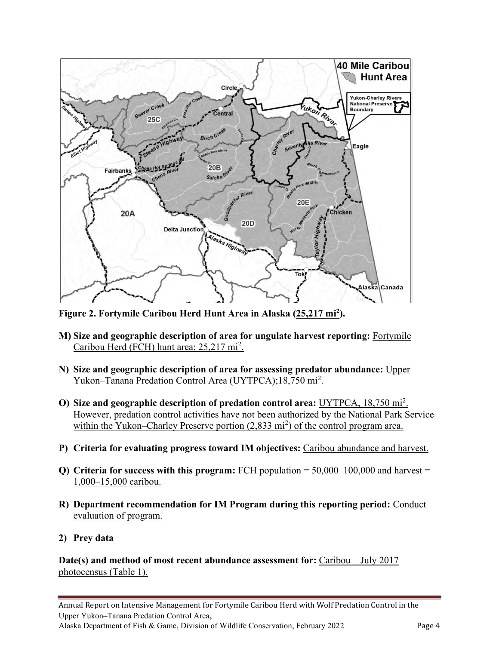

**Figure 2. Fortymile Caribou Herd Hunt Area in Alaska (25,217 mi<sup>2</sup> ).**

- **M) Size and geographic description of area for ungulate harvest reporting:** Fortymile Caribou Herd (FCH) hunt area; 25,217 mi<sup>2</sup>.
- **N) Size and geographic description of area for assessing predator abundance:** Upper Yukon–Tanana Predation Control Area (UYTPCA);18,750 mi<sup>2</sup>.
- **O) Size and geographic description of predation control area:** UYTPCA, 18,750 mi<sup>2</sup> . However, predation control activities have not been authorized by the National Park Service within the Yukon–Charley Preserve portion (2,833 mi<sup>2</sup>) of the control program area.
- **P) Criteria for evaluating progress toward IM objectives:** Caribou abundance and harvest.
- **Q) Criteria for success with this program:** FCH population = 50,000–100,000 and harvest = 1,000–15,000 caribou.
- **R) Department recommendation for IM Program during this reporting period:** Conduct evaluation of program.
- **2) Prey data**

**Date(s) and method of most recent abundance assessment for:** Caribou – July 2017 photocensus (Table 1).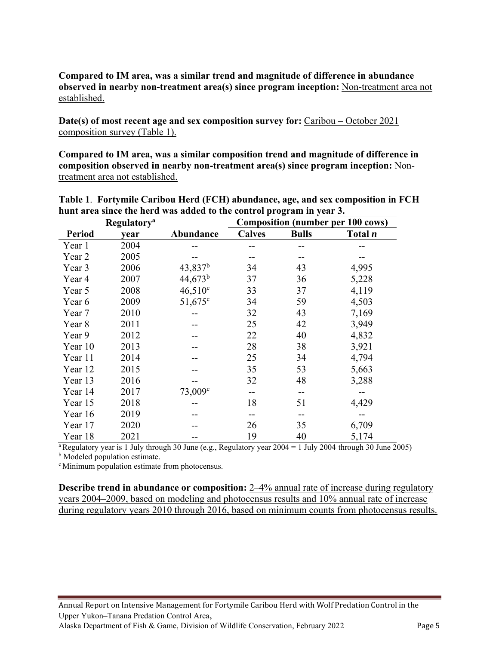### **Compared to IM area, was a similar trend and magnitude of difference in abundance observed in nearby non-treatment area(s) since program inception:** Non-treatment area not established.

**Date(s) of most recent age and sex composition survey for:** Caribou – October 2021 composition survey (Table 1).

**Compared to IM area, was a similar composition trend and magnitude of difference in composition observed in nearby non-treatment area(s) since program inception:** Nontreatment area not established.

|               | <b>Regulatory</b> <sup>a</sup> |                     | <b>Composition (number per 100 cows)</b> |              |                |  |  |
|---------------|--------------------------------|---------------------|------------------------------------------|--------------|----------------|--|--|
| <b>Period</b> | year                           | Abundance           | <b>Calves</b>                            | <b>Bulls</b> | Total <i>n</i> |  |  |
| Year 1        | 2004                           |                     |                                          |              |                |  |  |
| Year 2        | 2005                           |                     |                                          |              |                |  |  |
| Year 3        | 2006                           | $43,837^b$          | 34                                       | 43           | 4,995          |  |  |
| Year 4        | 2007                           | $44,673^b$          | 37                                       | 36           | 5,228          |  |  |
| Year 5        | 2008                           | $46,510^{\circ}$    | 33                                       | 37           | 4,119          |  |  |
| Year 6        | 2009                           | $51,675$ °          | 34                                       | 59           | 4,503          |  |  |
| Year 7        | 2010                           |                     | 32                                       | 43           | 7,169          |  |  |
| Year 8        | 2011                           |                     | 25                                       | 42           | 3,949          |  |  |
| Year 9        | 2012                           |                     | 22                                       | 40           | 4,832          |  |  |
| Year 10       | 2013                           |                     | 28                                       | 38           | 3,921          |  |  |
| Year 11       | 2014                           |                     | 25                                       | 34           | 4,794          |  |  |
| Year 12       | 2015                           |                     | 35                                       | 53           | 5,663          |  |  |
| Year 13       | 2016                           |                     | 32                                       | 48           | 3,288          |  |  |
| Year 14       | 2017                           | 73,009 <sup>c</sup> | --                                       | --           |                |  |  |
| Year 15       | 2018                           |                     | 18                                       | 51           | 4,429          |  |  |
| Year 16       | 2019                           |                     |                                          |              |                |  |  |
| Year 17       | 2020                           |                     | 26                                       | 35           | 6,709          |  |  |
| Year 18       | 2021                           |                     | 19                                       | 40           | 5,174          |  |  |

**Table 1**. **Fortymile Caribou Herd (FCH) abundance, age, and sex composition in FCH hunt area since the herd was added to the control program in year 3.**

<sup>a</sup>Regulatory year is 1 July through 30 June (e.g., Regulatory year  $2004 = 1$  July 2004 through 30 June 2005)

**b** Modeled population estimate.

<sup>c</sup> Minimum population estimate from photocensus.

**Describe trend in abundance or composition:** 2–4% annual rate of increase during regulatory years 2004–2009, based on modeling and photocensus results and 10% annual rate of increase during regulatory years 2010 through 2016, based on minimum counts from photocensus results.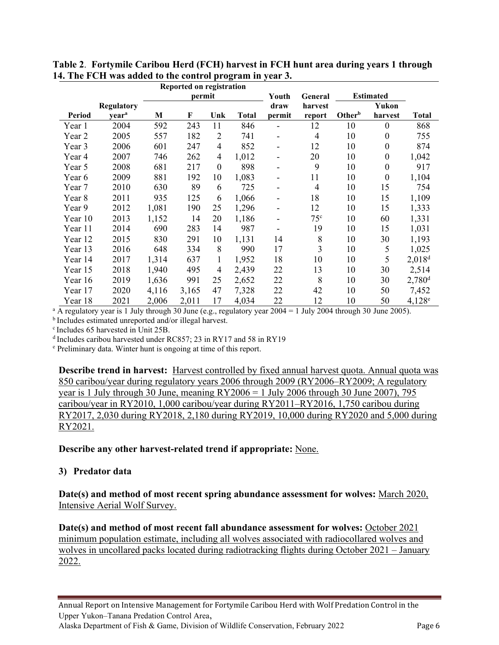|               |                   | Reported on registration                       |       |                |              |                          |                 |                    |                  |                      |
|---------------|-------------------|------------------------------------------------|-------|----------------|--------------|--------------------------|-----------------|--------------------|------------------|----------------------|
|               |                   | <b>Estimated</b><br>permit<br>Youth<br>General |       |                |              |                          |                 |                    |                  |                      |
|               | <b>Regulatory</b> |                                                |       |                |              | draw                     | harvest         |                    | Yukon            |                      |
| <b>Period</b> | year <sup>a</sup> | M                                              | F     | Unk            | <b>Total</b> | permit                   | report          | Other <sup>b</sup> | harvest          | Total                |
| Year 1        | 2004              | 592                                            | 243   | 11             | 846          |                          | 12              | 10                 | $\boldsymbol{0}$ | 868                  |
| Year 2        | 2005              | 557                                            | 182   | $\overline{2}$ | 741          | -                        | 4               | 10                 | $\boldsymbol{0}$ | 755                  |
| Year 3        | 2006              | 601                                            | 247   | $\overline{4}$ | 852          | -                        | 12              | 10                 | $\boldsymbol{0}$ | 874                  |
| Year 4        | 2007              | 746                                            | 262   | 4              | 1,012        | -                        | 20              | 10                 | $\boldsymbol{0}$ | 1,042                |
| Year 5        | 2008              | 681                                            | 217   | $\theta$       | 898          | -                        | 9               | 10                 | $\boldsymbol{0}$ | 917                  |
| Year 6        | 2009              | 881                                            | 192   | 10             | 1,083        |                          | 11              | 10                 | $\boldsymbol{0}$ | 1,104                |
| Year 7        | 2010              | 630                                            | 89    | 6              | 725          | -                        | 4               | 10                 | 15               | 754                  |
| Year 8        | 2011              | 935                                            | 125   | 6              | 1,066        | -                        | 18              | 10                 | 15               | 1,109                |
| Year 9        | 2012              | 1,081                                          | 190   | 25             | 1,296        | $\overline{\phantom{0}}$ | 12              | 10                 | 15               | 1,333                |
| Year 10       | 2013              | 1,152                                          | 14    | 20             | 1,186        |                          | 75 <sup>c</sup> | 10                 | 60               | 1,331                |
| Year 11       | 2014              | 690                                            | 283   | 14             | 987          |                          | 19              | 10                 | 15               | 1,031                |
| Year 12       | 2015              | 830                                            | 291   | 10             | 1,131        | 14                       | 8               | 10                 | 30               | 1,193                |
| Year 13       | 2016              | 648                                            | 334   | 8              | 990          | 17                       | 3               | 10                 | 5                | 1,025                |
| Year 14       | 2017              | 1,314                                          | 637   | 1              | 1,952        | 18                       | 10              | 10                 | 5                | $2,018^d$            |
| Year 15       | 2018              | 1,940                                          | 495   | 4              | 2,439        | 22                       | 13              | 10                 | 30               | 2,514                |
| Year 16       | 2019              | 1,636                                          | 991   | 25             | 2,652        | 22                       | 8               | 10                 | 30               | $2,780$ <sup>d</sup> |
| Year 17       | 2020              | 4,116                                          | 3,165 | 47             | 7,328        | 22                       | 42              | 10                 | 50               | 7,452                |
| Year 18       | 2021              | 2,006                                          | 2,011 | 17             | 4,034        | 22                       | 12              | 10                 | 50               | $4,128^e$            |

**Table 2**. **Fortymile Caribou Herd (FCH) harvest in FCH hunt area during years 1 through 14. The FCH was added to the control program in year 3.** 

<sup>a</sup> A regulatory year is 1 July through 30 June (e.g., regulatory year  $2004 = 1$  July 2004 through 30 June 2005).

**b**Includes estimated unreported and/or illegal harvest.

c Includes 65 harvested in Unit 25B.

d Includes caribou harvested under RC857; 23 in RY17 and 58 in RY19

<sup>e</sup> Preliminary data. Winter hunt is ongoing at time of this report.

**Describe trend in harvest:** Harvest controlled by fixed annual harvest quota. Annual quota was 850 caribou/year during regulatory years 2006 through 2009 (RY2006–RY2009; A regulatory year is 1 July through 30 June, meaning  $RY2006 = 1$  July 2006 through 30 June 2007), 795 caribou/year in RY2010, 1,000 caribou/year during RY2011–RY2016, 1,750 caribou during RY2017, 2,030 during RY2018, 2,180 during RY2019, 10,000 during RY2020 and 5,000 during RY2021.

**Describe any other harvest-related trend if appropriate:** None.

### **3) Predator data**

**Date(s) and method of most recent spring abundance assessment for wolves:** March 2020, Intensive Aerial Wolf Survey.

**Date(s) and method of most recent fall abundance assessment for wolves:** October 2021 minimum population estimate, including all wolves associated with radiocollared wolves and wolves in uncollared packs located during radiotracking flights during October 2021 – January 2022.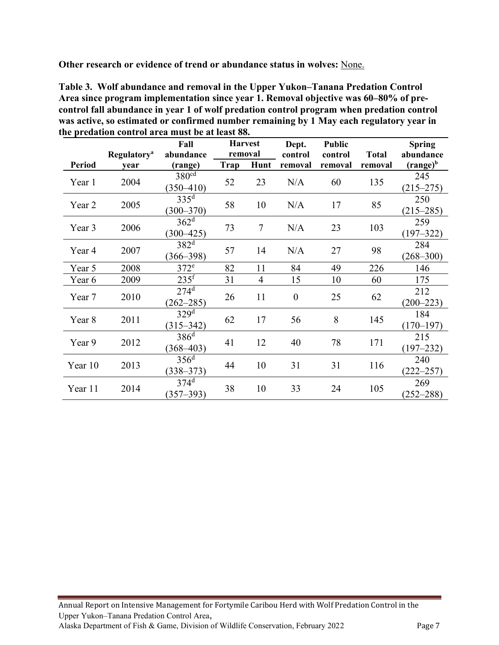**Other research or evidence of trend or abundance status in wolves:** None.

**Table 3. Wolf abundance and removal in the Upper Yukon–Tanana Predation Control Area since program implementation since year 1. Removal objective was 60–80% of precontrol fall abundance in year 1 of wolf predation control program when predation control was active, so estimated or confirmed number remaining by 1 May each regulatory year in the predation control area must be at least 88.** 

|               | <b>Regulatory</b> <sup>a</sup> | Fall<br>abundance                     | <b>Harvest</b><br>removal |                | Dept.<br>control | <b>Public</b><br>control | <b>Total</b> | <b>Spring</b><br>abundance |
|---------------|--------------------------------|---------------------------------------|---------------------------|----------------|------------------|--------------------------|--------------|----------------------------|
| <b>Period</b> | year                           | (range)                               | Trap                      | Hunt           | removal          | removal                  | removal      | $(range)^b$                |
| Year 1        | 2004                           | 380 <sup>cd</sup><br>$(350 - 410)$    | 52                        | 23             | N/A              | 60                       | 135          | 245<br>$(215 - 275)$       |
| Year 2        | 2005                           | $335^{\rm d}$<br>$(300 - 370)$        | 58                        | 10             | N/A              | 17                       | 85           | 250<br>$(215 - 285)$       |
| Year 3        | 2006                           | 362 <sup>d</sup><br>$(300 - 425)$     | 73                        | $\overline{7}$ | N/A              | 23                       | 103          | 259<br>$(197 - 322)$       |
| Year 4        | 2007                           | $382^d$<br>$(366 - 398)$              | 57                        | 14             | N/A              | 27                       | 98           | 284<br>$(268 - 300)$       |
| Year 5        | 2008                           | 372 <sup>e</sup>                      | 82                        | 11             | 84               | 49                       | 226          | 146                        |
| Year 6        | 2009                           | 235 <sup>f</sup>                      | 31                        | $\overline{4}$ | 15               | 10                       | 60           | 175                        |
| Year 7        | 2010                           | $274^d$<br>$(262 - 285)$              | 26                        | 11             | $\theta$         | 25                       | 62           | 212<br>$(200 - 223)$       |
| Year 8        | 2011                           | $329^{\overline{d}}$<br>$(315 - 342)$ | 62                        | 17             | 56               | 8                        | 145          | 184<br>$(170 - 197)$       |
| Year 9        | 2012                           | $386^d$<br>$(368 - 403)$              | 41                        | 12             | 40               | 78                       | 171          | 215<br>$(197 - 232)$       |
| Year 10       | 2013                           | 356 <sup>d</sup><br>$(338 - 373)$     | 44                        | 10             | 31               | 31                       | 116          | 240<br>$(222 - 257)$       |
| Year 11       | 2014                           | $374^d$<br>$(357 - 393)$              | 38                        | 10             | 33               | 24                       | 105          | 269<br>$(252 - 288)$       |

Annual Report on Intensive Management for Fortymile Caribou Herd with Wolf Predation Control in the Upper Yukon–Tanana Predation Control Area, Alaska Department of Fish & Game, Division of Wildlife Conservation, February 2022 Page 7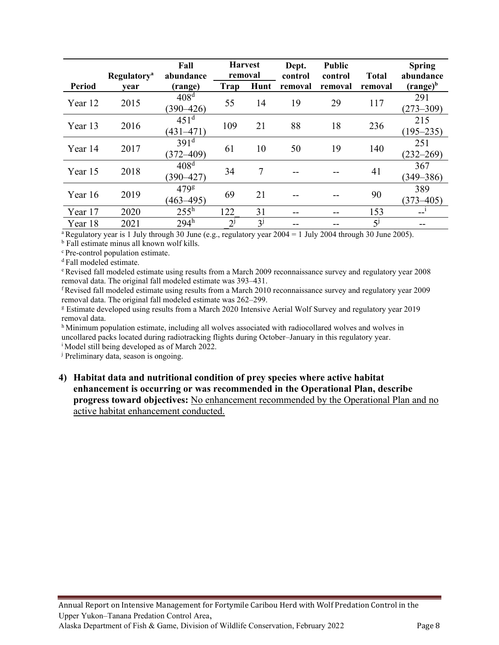|               | <b>Regulatory</b> <sup>a</sup> | Fall<br>abundance                 | <b>Harvest</b><br>removal |         | Dept.<br>control | <b>Public</b><br>control | <b>Total</b> | <b>Spring</b><br>abundance |
|---------------|--------------------------------|-----------------------------------|---------------------------|---------|------------------|--------------------------|--------------|----------------------------|
| <b>Period</b> | year                           | (range)                           | Trap                      | Hunt    | removal          | removal                  | removal      | $(range)^b$                |
| Year 12       | 2015                           | 408 <sup>d</sup><br>$(390 - 426)$ | 55                        | 14      | 19               | 29                       | 117          | 291<br>$(273 - 309)$       |
| Year 13       | 2016                           | 451 <sup>d</sup><br>$(431 - 471)$ | 109                       | 21      | 88               | 18                       | 236          | 215<br>$(195 - 235)$       |
| Year 14       | 2017                           | 391 <sup>d</sup><br>$(372 - 409)$ | 61                        | 10      | 50               | 19                       | 140          | 251<br>$(232 - 269)$       |
| Year 15       | 2018                           | 408 <sup>d</sup><br>$(390 - 427)$ | 34                        | 7       |                  |                          | 41           | 367<br>$(349 - 386)$       |
| Year 16       | 2019                           | 479g<br>$(463 - 495)$             | 69                        | 21      |                  |                          | 90           | 389<br>$(373 - 405)$       |
| Year 17       | 2020                           | $255^{\rm h}$                     | 122                       | 31      |                  |                          | 153          |                            |
| Year 18       | 2021                           | $294^h$                           | $2^{j}$                   | $3^{j}$ |                  |                          | $5^j$        |                            |

<sup>a</sup>Regulatory year is 1 July through 30 June (e.g., regulatory year  $2004 = 1$  July 2004 through 30 June 2005).

<sup>b</sup> Fall estimate minus all known wolf kills. <sup>c</sup> Pre-control population estimate.

<sup>d</sup> Fall modeled estimate.

<sup>e</sup> Revised fall modeled estimate using results from a March 2009 reconnaissance survey and regulatory year 2008 removal data. The original fall modeled estimate was 393–431.

<sup>f</sup> Revised fall modeled estimate using results from a March 2010 reconnaissance survey and regulatory year 2009 removal data. The original fall modeled estimate was 262–299.

<sup>g</sup> Estimate developed using results from a March 2020 Intensive Aerial Wolf Survey and regulatory year 2019 removal data.

h Minimum population estimate, including all wolves associated with radiocollared wolves and wolves in uncollared packs located during radiotracking flights during October–January in this regulatory year. <sup>i</sup> Model still being developed as of March 2022.

<sup>j</sup> Preliminary data, season is ongoing.

**4) Habitat data and nutritional condition of prey species where active habitat enhancement is occurring or was recommended in the Operational Plan, describe progress toward objectives:** No enhancement recommended by the Operational Plan and no active habitat enhancement conducted.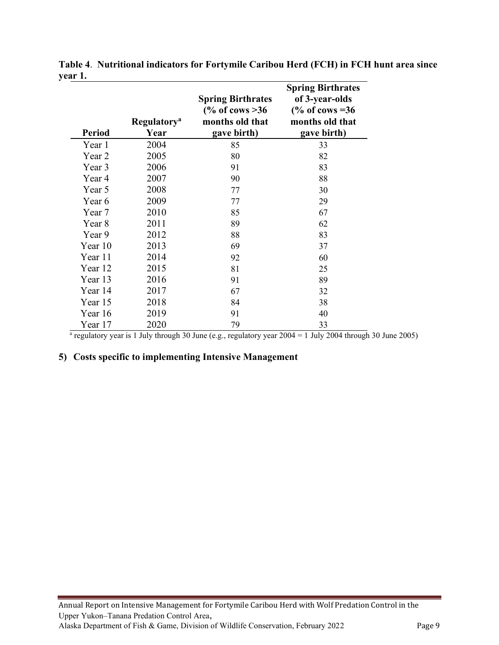| <b>Period</b> | <b>Regulatory</b> <sup>a</sup><br>Year | <b>Spring Birthrates</b><br>$\frac{6}{6}$ of cows >36<br>months old that<br>gave birth) | <b>Spring Birthrates</b><br>of 3-year-olds<br>$\frac{6}{6}$ of cows = 36<br>months old that<br>gave birth) |
|---------------|----------------------------------------|-----------------------------------------------------------------------------------------|------------------------------------------------------------------------------------------------------------|
| Year 1        | 2004                                   | 85                                                                                      | 33                                                                                                         |
| Year 2        | 2005                                   | 80                                                                                      | 82                                                                                                         |
| Year 3        | 2006                                   | 91                                                                                      | 83                                                                                                         |
| Year 4        | 2007                                   | 90                                                                                      | 88                                                                                                         |
| Year 5        | 2008                                   | 77                                                                                      | 30                                                                                                         |
| Year 6        | 2009                                   | 77                                                                                      | 29                                                                                                         |
| Year 7        | 2010                                   | 85                                                                                      | 67                                                                                                         |
| Year 8        | 2011                                   | 89                                                                                      | 62                                                                                                         |
| Year 9        | 2012                                   | 88                                                                                      | 83                                                                                                         |
| Year 10       | 2013                                   | 69                                                                                      | 37                                                                                                         |
| Year 11       | 2014                                   | 92                                                                                      | 60                                                                                                         |
| Year 12       | 2015                                   | 81                                                                                      | 25                                                                                                         |
| Year 13       | 2016                                   | 91                                                                                      | 89                                                                                                         |
| Year 14       | 2017                                   | 67                                                                                      | 32                                                                                                         |
| Year 15       | 2018                                   | 84                                                                                      | 38                                                                                                         |
| Year 16       | 2019                                   | 91                                                                                      | 40                                                                                                         |
| Year 17       | 2020                                   | 79                                                                                      | 33                                                                                                         |

**Table 4**. **Nutritional indicators for Fortymile Caribou Herd (FCH) in FCH hunt area since year 1.** 

 $\frac{10^{3} \text{Year 17}}{2020}$   $\frac{79}{2020}$   $\frac{33}{2004}$   $\frac{33}{2004}$  through 30 June 2005)

#### **5) Costs specific to implementing Intensive Management**